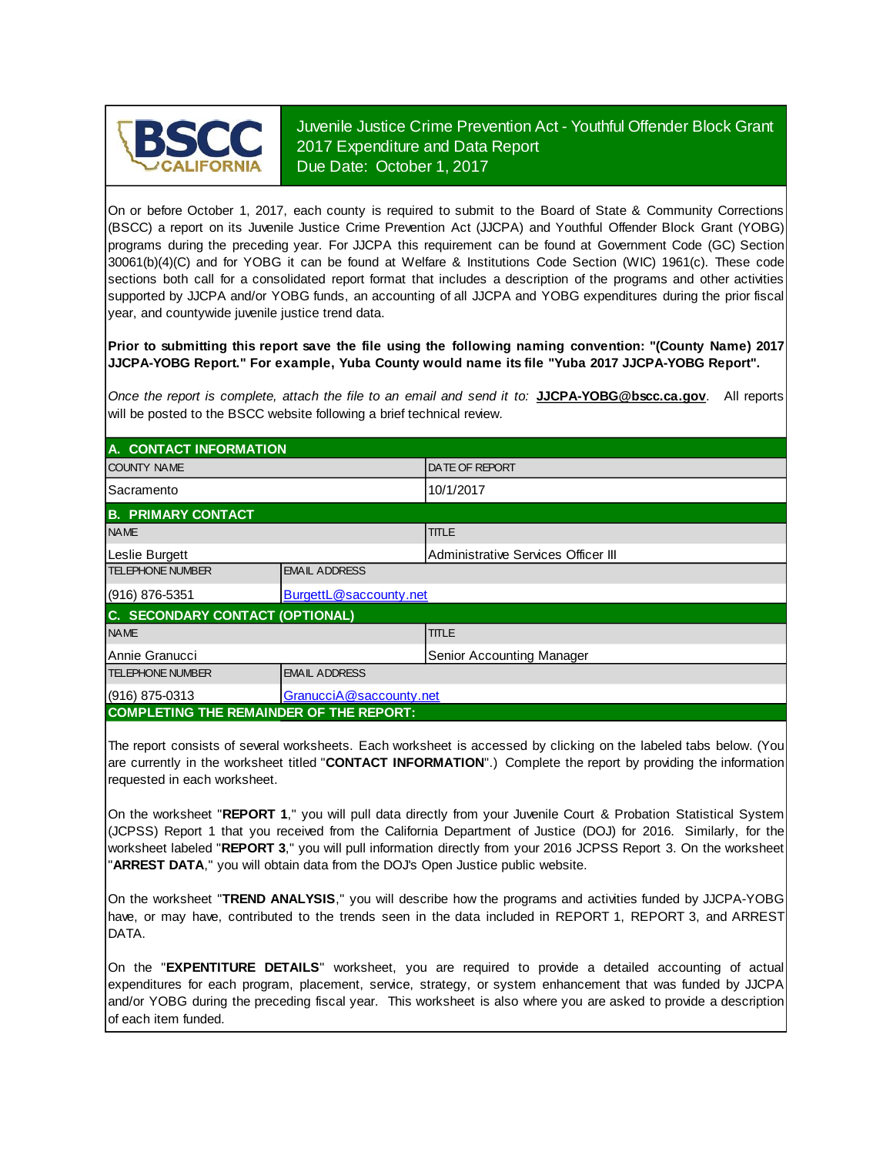

Juvenile Justice Crime Prevention Act - Youthful Offender Block Grant 2017 Expenditure and Data Report Due Date: October 1, 2017

On or before October 1, 2017, each county is required to submit to the Board of State & Community Corrections (BSCC) <sup>a</sup> report on its Juvenile Justice Crime Prevention Act (JJCPA) and Youthful Offender Block Grant (YOBG) programs during the preceding year. For JJCPA this requirement can be found at Government Code (GC) Section 30061(b)(4)(C) and for YOBG it can be found at Welfare & Institutions Code Section (WIC) 1961(c). These code sections both call for <sup>a</sup> consolidated report format that includes <sup>a</sup> description of the programs and other activities supported by JJCPA and/or YOBG funds, an accounting of all JJCPA and YOBG expenditures during the prior fiscal year, and countywide juvenile justice trend data.

**Prior to submitting this report save the file using the following naming convention: "(County Name) 2017 JJCPA-YOBG Report." For example, Yuba County would name its file "Yuba 2017 JJCPA-YOBG Report".**

*Once the report is complete, attach the file t o an email and send it to:* **JJCPA-YOBG@bscc.ca.gov**. All reports will be posted to the BSCC website following a brief technical review.

| A. CONTACT INFORMATION                         |                        |                                     |  |  |
|------------------------------------------------|------------------------|-------------------------------------|--|--|
| <b>COUNTY NAME</b>                             |                        | <b>IDATE OF REPORT</b>              |  |  |
| l Sacramento                                   |                        | 10/1/2017                           |  |  |
| <b>B. PRIMARY CONTACT</b>                      |                        |                                     |  |  |
| <b>NAME</b>                                    |                        | <b>TITLE</b>                        |  |  |
| Leslie Burgett                                 |                        | Administrative Services Officer III |  |  |
| <b>TELEPHONE NUMBER</b>                        | <b>EMAIL ADDRESS</b>   |                                     |  |  |
| $(916) 876 - 5351$                             | BurgettL@saccounty.net |                                     |  |  |
| C. SECONDARY CONTACT (OPTIONAL)                |                        |                                     |  |  |
| <b>NAME</b>                                    |                        | <b>TITLE</b>                        |  |  |
| Annie Granucci<br>Senior Accounting Manager    |                        |                                     |  |  |
| <b>TELEPHONE NUMBER</b>                        | <b>EMAIL ADDRESS</b>   |                                     |  |  |
| GranucciA@saccounty.net<br>$(916)$ 875-0313    |                        |                                     |  |  |
| <b>COMPLETING THE REMAINDER OF THE REPORT:</b> |                        |                                     |  |  |

The report consists of several worksheets. Each worksheet is accessed by clicking on the labeled tabs below. (You are currently in the worksheet titled "**CONTACT INFORMATION**".) Complete the report by providing the information requested in each worksheet.

On the worksheet "**REPORT 1**, " you will pull data directly from your Juvenile Court & Probation Statistical System (JCPSS) Report 1 that you received from the California Department of Justice (DOJ) for 2016. Similarly, for the worksheet labeled "REPORT 3," you will pull information directly from your 2016 JCPSS Report 3. On the worksheet "**ARREST DATA**," you will obtain data from the DOJ's Open Justice public website.

On the worksheet "**TREND ANALYSIS**, " you will describe how the programs and activities funded by JJCPA-YOBG have, or may have, contributed to the trends seen in the data included in REPORT 1, REPORT 3, and ARREST DATA.

On the "EXPENTITURE DETAILS" worksheet, you are required to provide a detailed accounting of actual expenditures for each program, placement, service, strategy, or system enhancement that was funded by JJCPA and/or YOBG during the preceding fiscal year. This worksheet is also where you are asked to provide a description of each item funded.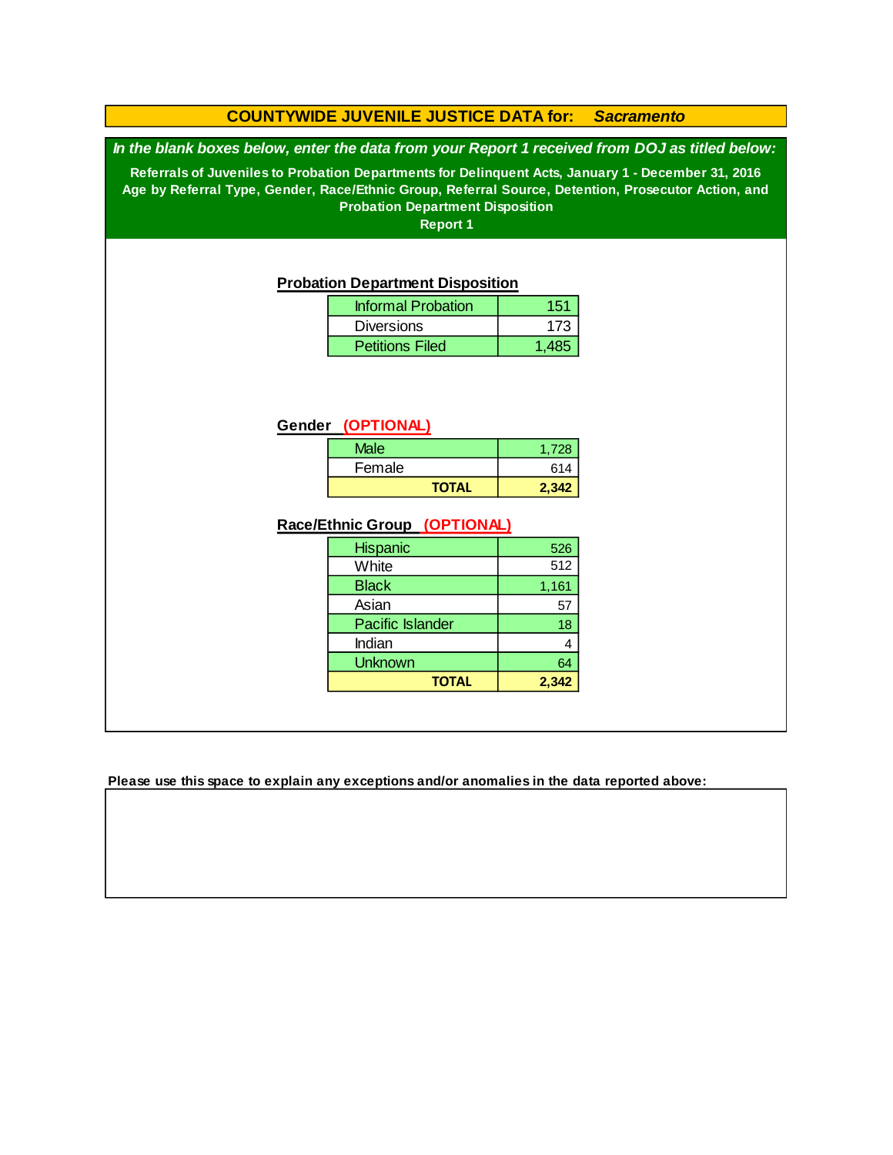### **COUNTYWIDE JUVENILE JUSTICE DATA for:** *Sacramento*

*In the blank boxes below, enter the data from your Report 1 received from DOJ as titled below:*

**Referrals of Juveniles to Probation Departments for Delinquent Acts, January 1 - December 31, 2016 Age by Referral Type, Gender, Race/Ethnic Group, Referral Source, Detention, Prosecutor Action, and Probation Department Disposition**

**Report 1**

#### **Probation Department Disposition**

| <b>Informal Probation</b> | 151   |
|---------------------------|-------|
| <b>Diversions</b>         | 173   |
| <b>Petitions Filed</b>    | 1 485 |

#### **Gender (OPTIONAL)**

| <b>Male</b>  | 1.728 |
|--------------|-------|
| Female       | 614   |
| <b>TOTAL</b> | 2.342 |

### **Race/Ethnic Group (OPTIONAL)**

| <b>Hispanic</b>         | 526   |
|-------------------------|-------|
| White                   | 512   |
| <b>Black</b>            | 1,161 |
| Asian                   | 57    |
| <b>Pacific Islander</b> | 18    |
| Indian                  |       |
| <b>Unknown</b>          | 64    |
| <b>TOTAL</b>            | 2,342 |

**Please use this space to explain any exceptions and/or anomalies in the data reported above:**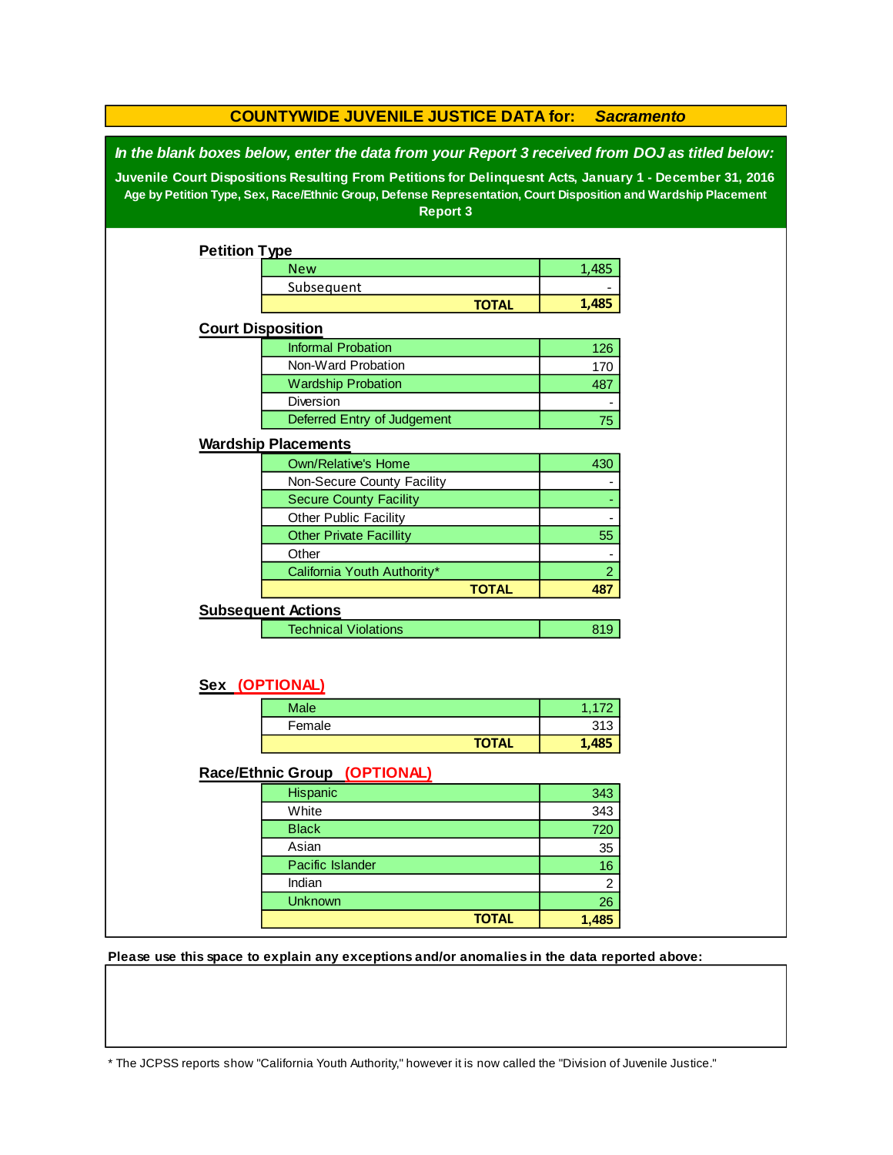| <b>COUNTYWIDE JUVENILE JUSTICE DATA for:</b><br><b>Sacramento</b>                                                                                                                                                                                                                                                                        |                                |              |                |  |  |  |  |
|------------------------------------------------------------------------------------------------------------------------------------------------------------------------------------------------------------------------------------------------------------------------------------------------------------------------------------------|--------------------------------|--------------|----------------|--|--|--|--|
| In the blank boxes below, enter the data from your Report 3 received from DOJ as titled below:<br>Juvenile Court Dispositions Resulting From Petitions for Delinquesnt Acts, January 1 - December 31, 2016<br>Age by Petition Type, Sex, Race/Ethnic Group, Defense Representation, Court Disposition and Wardship Placement<br>Report 3 |                                |              |                |  |  |  |  |
| <b>Petition Type</b>                                                                                                                                                                                                                                                                                                                     |                                |              |                |  |  |  |  |
|                                                                                                                                                                                                                                                                                                                                          | <b>New</b>                     |              | 1,485          |  |  |  |  |
|                                                                                                                                                                                                                                                                                                                                          | Subsequent                     |              |                |  |  |  |  |
|                                                                                                                                                                                                                                                                                                                                          |                                | <b>TOTAL</b> | 1,485          |  |  |  |  |
| <b>Court Disposition</b>                                                                                                                                                                                                                                                                                                                 |                                |              |                |  |  |  |  |
|                                                                                                                                                                                                                                                                                                                                          | <b>Informal Probation</b>      |              | 126            |  |  |  |  |
|                                                                                                                                                                                                                                                                                                                                          | Non-Ward Probation             |              | 170            |  |  |  |  |
|                                                                                                                                                                                                                                                                                                                                          | <b>Wardship Probation</b>      |              | 487            |  |  |  |  |
|                                                                                                                                                                                                                                                                                                                                          | Diversion                      |              |                |  |  |  |  |
|                                                                                                                                                                                                                                                                                                                                          | Deferred Entry of Judgement    |              | 75             |  |  |  |  |
|                                                                                                                                                                                                                                                                                                                                          | <b>Wardship Placements</b>     |              |                |  |  |  |  |
|                                                                                                                                                                                                                                                                                                                                          | Own/Relative's Home            |              | 430            |  |  |  |  |
|                                                                                                                                                                                                                                                                                                                                          | Non-Secure County Facility     |              |                |  |  |  |  |
|                                                                                                                                                                                                                                                                                                                                          | <b>Secure County Facility</b>  |              |                |  |  |  |  |
|                                                                                                                                                                                                                                                                                                                                          | Other Public Facility          |              |                |  |  |  |  |
|                                                                                                                                                                                                                                                                                                                                          | <b>Other Private Facillity</b> |              | 55             |  |  |  |  |
|                                                                                                                                                                                                                                                                                                                                          | Other                          |              |                |  |  |  |  |
|                                                                                                                                                                                                                                                                                                                                          | California Youth Authority*    |              | $\overline{2}$ |  |  |  |  |
|                                                                                                                                                                                                                                                                                                                                          |                                | <b>TOTAL</b> | 487            |  |  |  |  |
|                                                                                                                                                                                                                                                                                                                                          | <b>Subsequent Actions</b>      |              |                |  |  |  |  |
|                                                                                                                                                                                                                                                                                                                                          | <b>Technical Violations</b>    |              | 819            |  |  |  |  |
| Sex (OPTIONAL)                                                                                                                                                                                                                                                                                                                           |                                |              |                |  |  |  |  |
|                                                                                                                                                                                                                                                                                                                                          | <b>Male</b>                    |              | 1,172          |  |  |  |  |
|                                                                                                                                                                                                                                                                                                                                          | Female                         |              | 313            |  |  |  |  |
|                                                                                                                                                                                                                                                                                                                                          |                                | <b>TOTAL</b> | 1,485          |  |  |  |  |
|                                                                                                                                                                                                                                                                                                                                          |                                |              |                |  |  |  |  |
|                                                                                                                                                                                                                                                                                                                                          | Race/Ethnic Group (OPTIONAL)   |              |                |  |  |  |  |
|                                                                                                                                                                                                                                                                                                                                          | Hispanic                       |              | 343            |  |  |  |  |
|                                                                                                                                                                                                                                                                                                                                          | White                          |              | 343            |  |  |  |  |
|                                                                                                                                                                                                                                                                                                                                          | <b>Black</b>                   |              | 720            |  |  |  |  |
|                                                                                                                                                                                                                                                                                                                                          | Asian                          |              | 35             |  |  |  |  |
|                                                                                                                                                                                                                                                                                                                                          | Pacific Islander               |              | 16             |  |  |  |  |
|                                                                                                                                                                                                                                                                                                                                          | Indian<br>Unknown              |              | $\overline{c}$ |  |  |  |  |
|                                                                                                                                                                                                                                                                                                                                          |                                | <b>TOTAL</b> | 26<br>1,485    |  |  |  |  |
|                                                                                                                                                                                                                                                                                                                                          |                                |              |                |  |  |  |  |

**Please use this space to explain any exceptions and/or anomalies in the data reported above:** 

\* The JCPSS reports show "California Youth Authority," however it is now called the "Division of Juvenile Justice."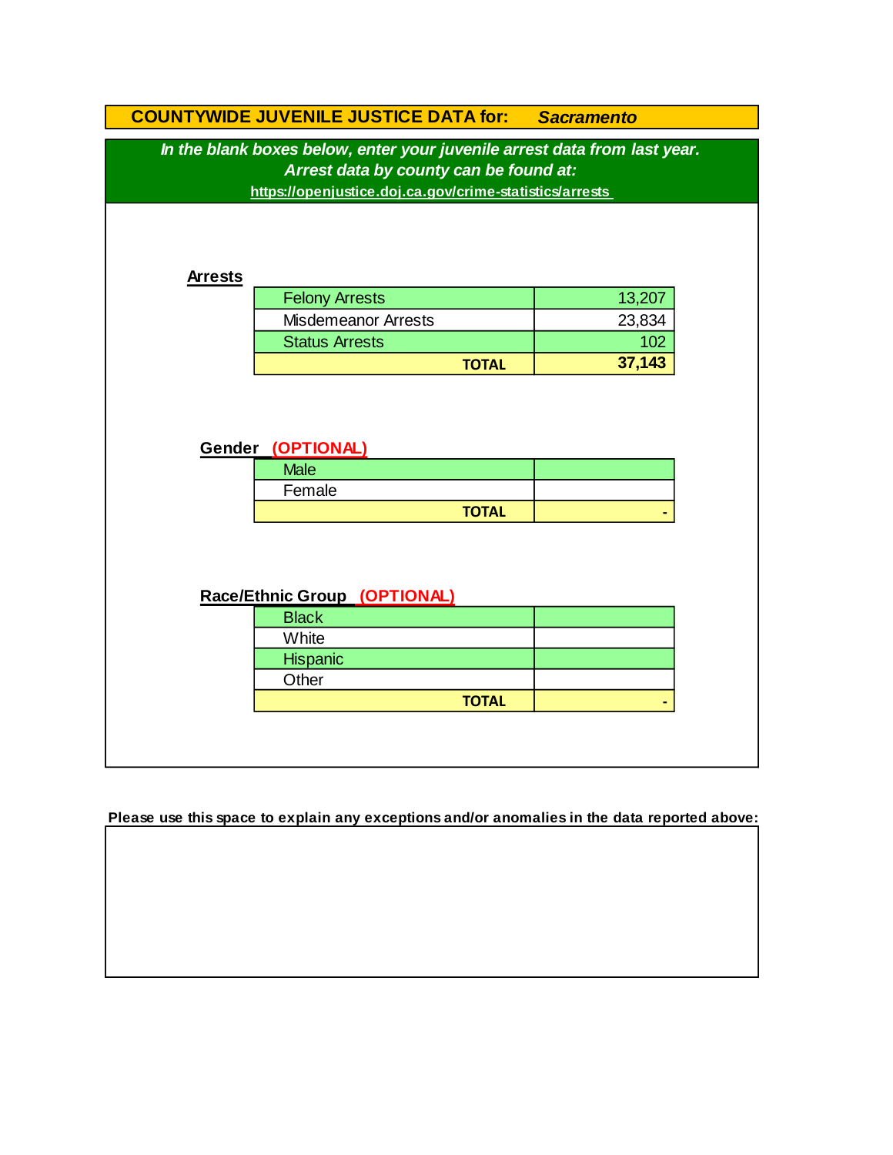|                | In the blank boxes below, enter your juvenile arrest data from last year. |        |
|----------------|---------------------------------------------------------------------------|--------|
|                | Arrest data by county can be found at:                                    |        |
|                | https://openjustice.doj.ca.gov/crime-statistics/arrests                   |        |
|                |                                                                           |        |
|                |                                                                           |        |
| <b>Arrests</b> |                                                                           |        |
|                | <b>Felony Arrests</b>                                                     | 13,207 |
|                | <b>Misdemeanor Arrests</b>                                                | 23,834 |
|                | <b>Status Arrests</b>                                                     | 102    |
|                | <b>TOTAL</b>                                                              | 37,143 |
|                | Gender (OPTIONAL)                                                         |        |
|                | <b>Male</b>                                                               |        |
|                | Female                                                                    |        |
|                | <b>TOTAL</b>                                                              |        |
|                |                                                                           |        |
|                |                                                                           |        |
|                |                                                                           |        |
|                | Race/Ethnic Group (OPTIONAL)                                              |        |
|                | <b>Black</b><br>White                                                     |        |
|                | Hispanic                                                                  |        |
|                | Other                                                                     |        |

**Please use this space to explain any exceptions and/or anomalies in the data reported above:**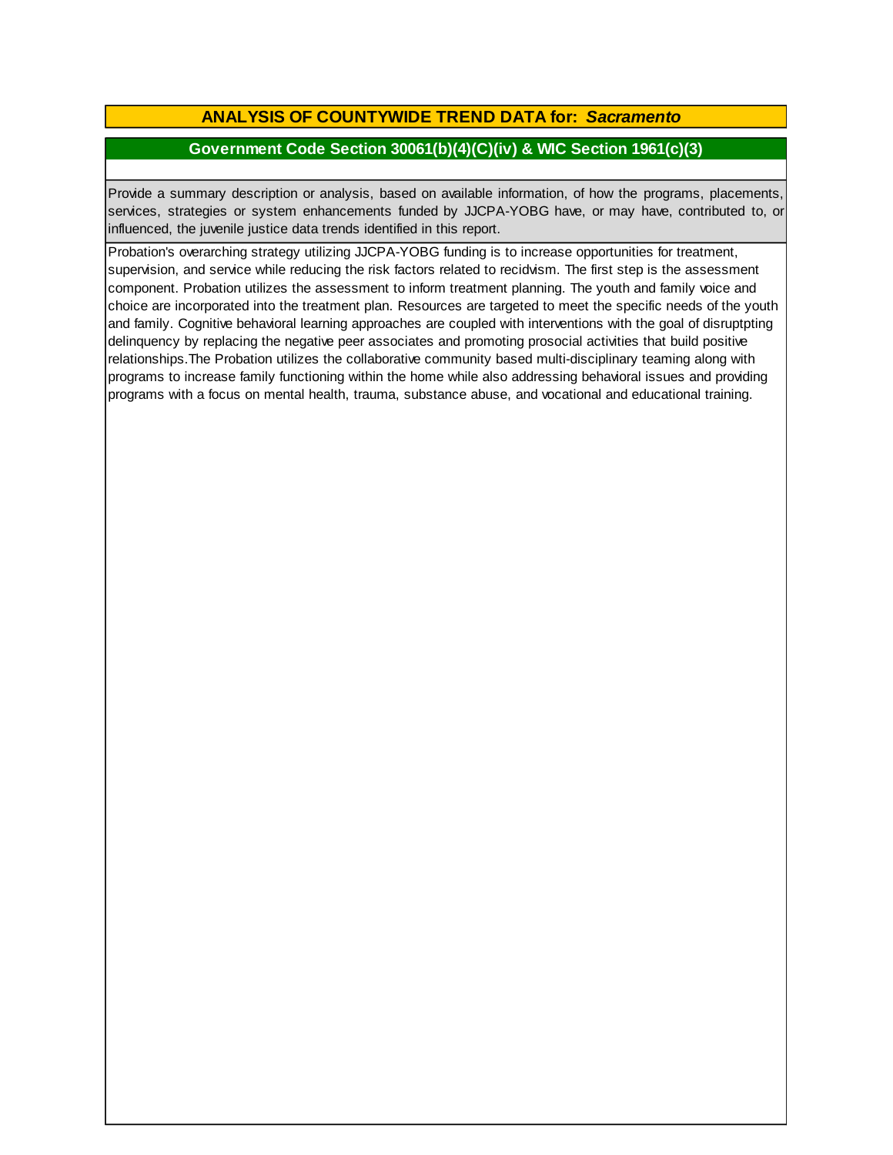## **ANALYSIS OF COUNTYWIDE TREND DATA for:** *Sacramento*

### **Government Code Section 30061(b)(4)(C)(iv) & WIC Section 1961(c)(3)**

Provide <sup>a</sup> summary description or analysis, based on available information, of how the programs, placements, services, strategies or system enhancements funded by JJCPA-YOBG have, or may have, contributed to, or influenced, the juvenile justice data trends identified in this report.

Probation's overarching strategy utilizing JJCPA-YOBG funding is to increase opportunities for treatment, supervision, and service while reducing the risk factors related to recidvism. The first step is the assessment component. Probation utilizes the assessment to inform treatment planning. The youth and family voice and choice are incorporated into the treatment plan. Resources are targeted to meet the specific needs of the youth and family. Cognitive behavioral learning approaches are coupled with interventions with the goal of disruptpting delinquency by replacing the negative peer associates and promoting prosocial activities that build positive relationships.The Probation utilizes the collaborative community based multi-disciplinary teaming along with programs to increase family functioning within the home while also addressing behavioral issues and providing programs with a focus on mental health, trauma, substance abuse, and vocational and educational training.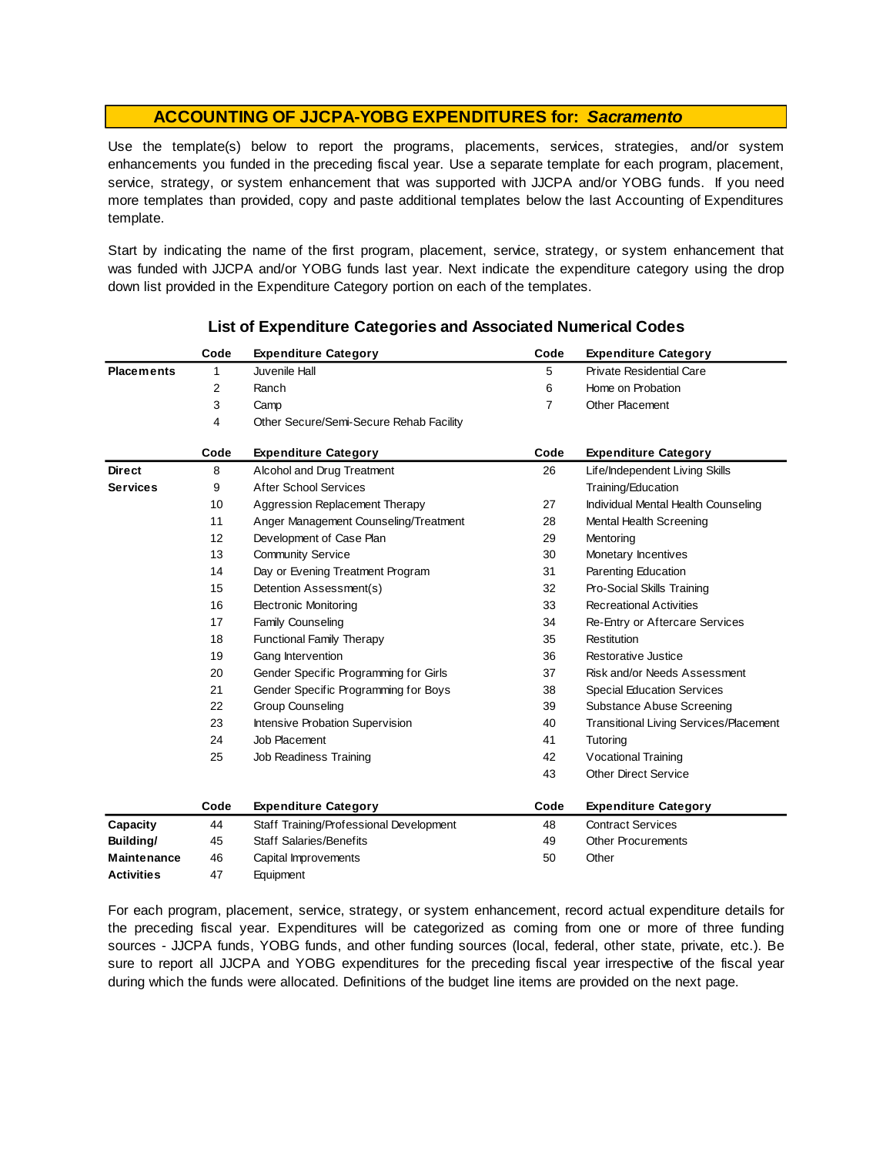Use the template(s) below to report the programs, placements, services, strategies, and/or system enhancements you funded in the preceding fiscal year. Use <sup>a</sup> separate template for each program, placement, service, strategy, or system enhancement that was supported with JJCPA and/or YOBG funds. If you need more templates than provided, copy and paste additional templates below the last Accounting of Expenditures template.

Start by indicating the name of the first program, placement, service, strategy, or system enhancement that was funded with JJCPA and/or YOBG funds last year. Next indicate the expenditure category using the drop down list provided in the Expenditure Category portion on each of the templates.

|                    | Code | <b>Expenditure Category</b>             | Code           | <b>Expenditure Category</b>            |
|--------------------|------|-----------------------------------------|----------------|----------------------------------------|
| <b>Placements</b>  | 1    | Juvenile Hall                           | 5              | <b>Private Residential Care</b>        |
|                    | 2    | Ranch                                   | 6              | Home on Probation                      |
|                    | 3    | Camp                                    | $\overline{7}$ | <b>Other Placement</b>                 |
|                    | 4    | Other Secure/Semi-Secure Rehab Facility |                |                                        |
|                    | Code | <b>Expenditure Category</b>             | Code           | <b>Expenditure Category</b>            |
| <b>Direct</b>      | 8    | Alcohol and Drug Treatment              | 26             | Life/Independent Living Skills         |
| <b>Services</b>    | 9    | <b>After School Services</b>            |                | Training/Education                     |
|                    | 10   | Aggression Replacement Therapy          | 27             | Individual Mental Health Counseling    |
|                    | 11   | Anger Management Counseling/Treatment   | 28             | Mental Health Screening                |
|                    | 12   | Development of Case Plan                | 29             | Mentoring                              |
|                    | 13   | <b>Community Service</b>                | 30             | Monetary Incentives                    |
|                    | 14   | Day or Evening Treatment Program        | 31             | Parenting Education                    |
|                    | 15   | Detention Assessment(s)                 | 32             | Pro-Social Skills Training             |
|                    | 16   | <b>Electronic Monitoring</b>            | 33             | <b>Recreational Activities</b>         |
|                    | 17   | <b>Family Counseling</b>                | 34             | Re-Entry or Aftercare Services         |
|                    | 18   | <b>Functional Family Therapy</b>        | 35             | Restitution                            |
|                    | 19   | Gang Intervention                       | 36             | Restorative Justice                    |
|                    | 20   | Gender Specific Programming for Girls   | 37             | Risk and/or Needs Assessment           |
|                    | 21   | Gender Specific Programming for Boys    | 38             | <b>Special Education Services</b>      |
|                    | 22   | <b>Group Counseling</b>                 | 39             | <b>Substance Abuse Screening</b>       |
|                    | 23   | Intensive Probation Supervision         | 40             | Transitional Living Services/Placement |
|                    | 24   | Job Placement                           | 41             | Tutoring                               |
|                    | 25   | Job Readiness Training                  | 42             | Vocational Training                    |
|                    |      |                                         | 43             | <b>Other Direct Service</b>            |
|                    | Code | <b>Expenditure Category</b>             | Code           | <b>Expenditure Category</b>            |
| Capacity           | 44   | Staff Training/Professional Development | 48             | <b>Contract Services</b>               |
| Building/          | 45   | <b>Staff Salaries/Benefits</b>          | 49             | <b>Other Procurements</b>              |
| <b>Maintenance</b> | 46   | Capital Improvements                    | 50             | Other                                  |
| <b>Activities</b>  | 47   | Equipment                               |                |                                        |

#### **List of Expenditure Categories and Associated Numerical Codes**

For each program, placement, service, strategy, or system enhancement, record actual expenditure details for the preceding fiscal year. Expenditures will be categorized as coming from one or more of three funding sources - JJCPA funds, YOBG funds, and other funding sources (local, federal, other state, private, etc.). Be sure to report all JJCPA and YOBG expenditures for the preceding fiscal year irrespective of the fiscal year during which the funds were allocated. Definitions of the budget line items are provided on the next page.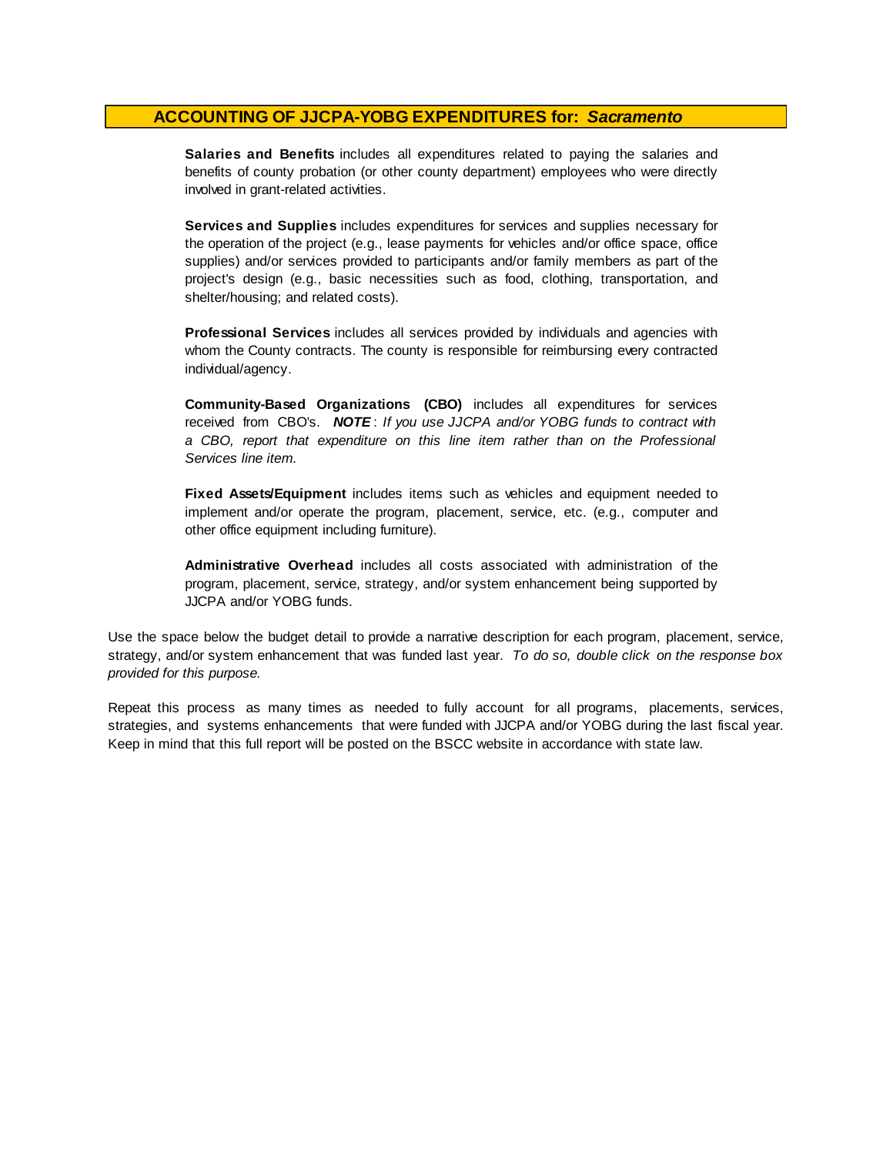**Salaries and Benefits** includes all expenditures related to paying the salaries and benefits of county probation (or other county department) employees who were directly involved in grant-related activities.

**Services and Supplies** includes expenditures for services and supplies necessary for the operation of the project (e.g., lease payments for vehicles and/or office space, office supplies) and/or services provided to participants and/or family members as part of the project's design (e.g., basic necessities such as food, clothing, transportation, and shelter/housing; and related costs).

**Professional Services** includes all services provided by individuals and agencies with whom the County contracts. The county is responsible for reimbursing every contracted individual/agency.

**Community-Based Organizations (CBO)** includes all expenditures for services received from CBO's. *NOTE* : *I f you use JJCPA and/or YOBG funds t o contract with <sup>a</sup> CBO, report that expenditure on this line item rather than on the Professional Services line item.*

**Fixed Assets/Equipment** includes items such as vehicles and equipment needed to implement and/or operate the program, placement, service, etc. (e.g., computer and other office equipment including furniture).

**Administrative Overhead** includes all costs associated with administration of the program, placement, service, strategy, and/or system enhancement being supported by JJCPA and/or YOBG funds.

Use the space below the budget detail to provide a narrative description for each program, placement, service, strategy, and/or system enhancement that was funded last year. *To do so, double click on the response box provided for this purpose.* 

Repeat this process as many times as needed to fully account for all programs, placements, services, strategies, and systems enhancements that were funded with JJCPA and/or YOBG during the last fiscal year. Keep in mind that this full report will be posted on the BSCC website in accordance with state law.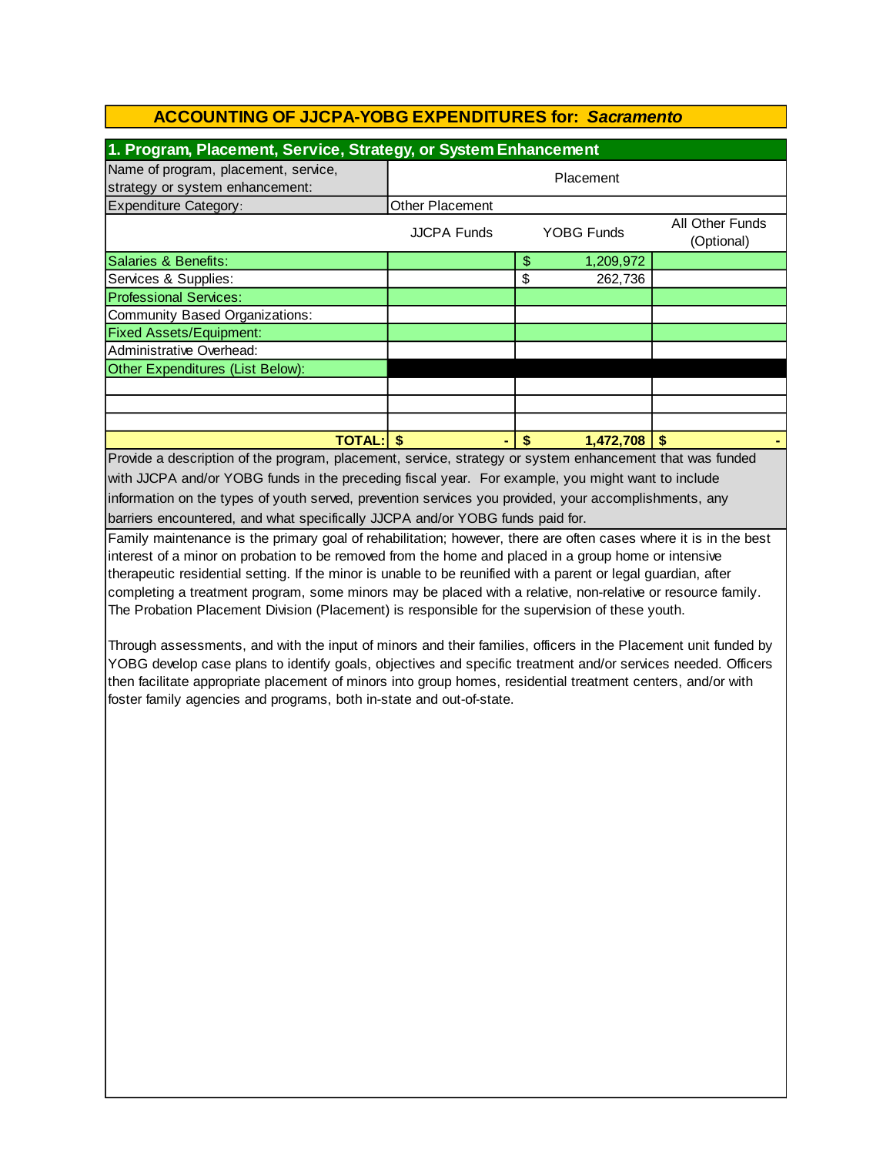| 1. Program, Placement, Service, Strategy, or System Enhancement                                          |                        |    |            |                               |  |  |  |
|----------------------------------------------------------------------------------------------------------|------------------------|----|------------|-------------------------------|--|--|--|
| Name of program, placement, service,<br>strategy or system enhancement:                                  | Placement              |    |            |                               |  |  |  |
| <b>Expenditure Category:</b>                                                                             | <b>Other Placement</b> |    |            |                               |  |  |  |
|                                                                                                          | <b>JJCPA Funds</b>     |    | YOBG Funds | All Other Funds<br>(Optional) |  |  |  |
| Salaries & Benefits:                                                                                     |                        | \$ | 1,209,972  |                               |  |  |  |
| Services & Supplies:                                                                                     |                        | \$ | 262,736    |                               |  |  |  |
| <b>Professional Services:</b>                                                                            |                        |    |            |                               |  |  |  |
| Community Based Organizations:                                                                           |                        |    |            |                               |  |  |  |
| <b>Fixed Assets/Equipment:</b>                                                                           |                        |    |            |                               |  |  |  |
| Administrative Overhead:                                                                                 |                        |    |            |                               |  |  |  |
| Other Expenditures (List Below):                                                                         |                        |    |            |                               |  |  |  |
|                                                                                                          |                        |    |            |                               |  |  |  |
|                                                                                                          |                        |    |            |                               |  |  |  |
|                                                                                                          |                        |    |            |                               |  |  |  |
| <b>TOTAL: \$</b>                                                                                         | ۰                      | \$ | 1,472,708  | -\$                           |  |  |  |
| Provide a description of the program, placement, service, strategy or system enhancement that was funded |                        |    |            |                               |  |  |  |

Provide a description of the program, placement, service, strategy or system enhancement that was funded with JJCPA and/or YOBG funds in the preceding fiscal year. For example, you might want to include information on the types of youth served, prevention services you provided, your accomplishments, any barriers encountered, and what specifically JJCPA and/or YOBG funds paid for.

Family maintenance is the primary goal of rehabilitation; however, there are often cases where it is in the best interest of a minor on probation to be removed from the home and placed in a group home or intensive therapeutic residential setting. If the minor is unable to be reunified with a parent or legal guardian, after completing a treatment program, some minors may be placed with a relative, non-relative or resource family. The Probation Placement Division (Placement) is responsible for the supervision of these youth.

Through assessments, and with the input of minors and their families, officers in the Placement unit funded by YOBG develop case plans to identify goals, objectives and specific treatment and/or services needed. Officers then facilitate appropriate placement of minors into group homes, residential treatment centers, and/or with foster family agencies and programs, both in-state and out-of-state.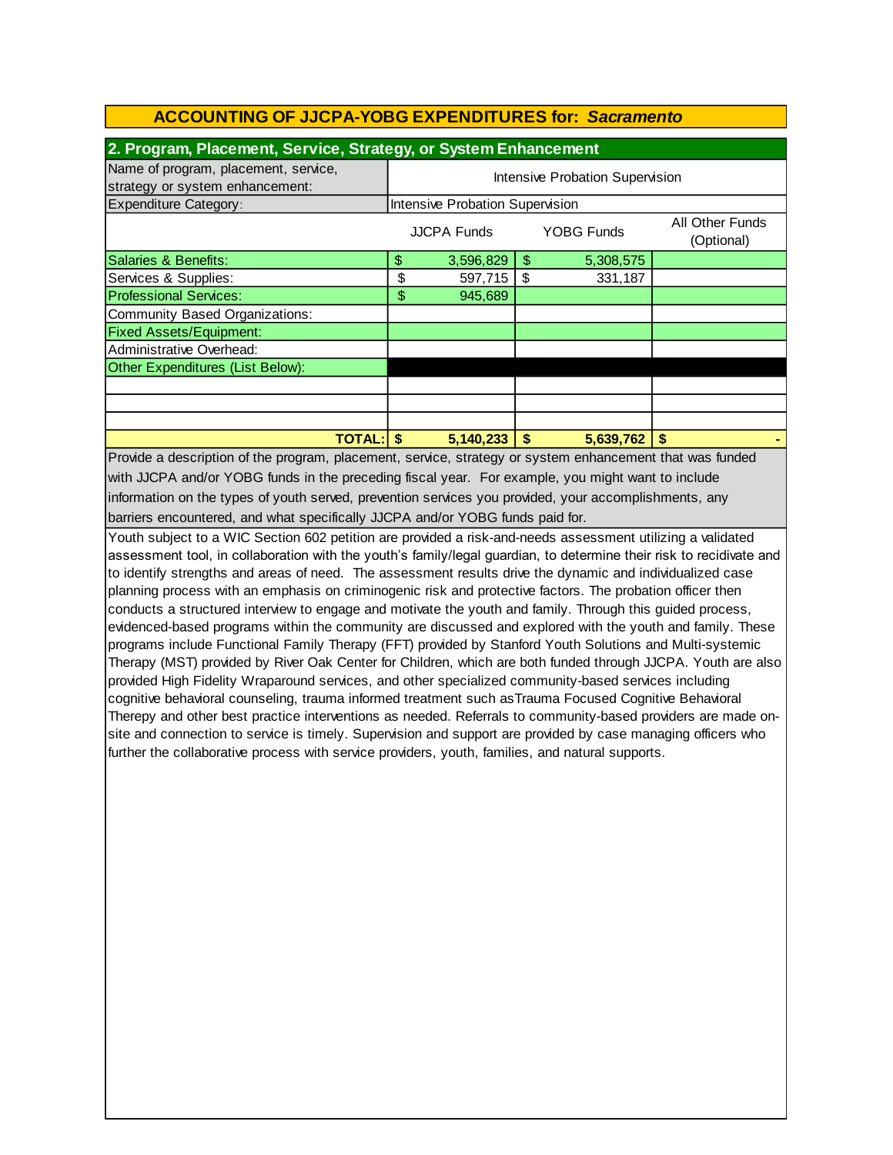| 2. Program, Placement, Service, Strategy, or System Enhancement         |                                                                          |                                 |    |           |  |  |  |
|-------------------------------------------------------------------------|--------------------------------------------------------------------------|---------------------------------|----|-----------|--|--|--|
| Name of program, placement, service,<br>strategy or system enhancement: | Intensive Probation Supervision                                          |                                 |    |           |  |  |  |
| <b>Expenditure Category:</b>                                            |                                                                          | Intensive Probation Supervision |    |           |  |  |  |
|                                                                         | All Other Funds<br><b>YOBG Funds</b><br><b>JJCPA Funds</b><br>(Optional) |                                 |    |           |  |  |  |
| Salaries & Benefits:                                                    | \$                                                                       | 3,596,829                       | \$ | 5,308,575 |  |  |  |
| Services & Supplies:                                                    | \$                                                                       | 597,715                         | \$ | 331,187   |  |  |  |
| <b>Professional Services:</b>                                           | \$                                                                       | 945,689                         |    |           |  |  |  |
| Community Based Organizations:                                          |                                                                          |                                 |    |           |  |  |  |
| <b>Fixed Assets/Equipment:</b>                                          |                                                                          |                                 |    |           |  |  |  |
| Administrative Overhead:                                                |                                                                          |                                 |    |           |  |  |  |
| Other Expenditures (List Below):                                        |                                                                          |                                 |    |           |  |  |  |
|                                                                         |                                                                          |                                 |    |           |  |  |  |
|                                                                         |                                                                          |                                 |    |           |  |  |  |
|                                                                         |                                                                          |                                 |    |           |  |  |  |
| <b>TOTAL: S</b>                                                         |                                                                          | 5,140,233                       | S  | 5,639,762 |  |  |  |

barriers encountered, and what specifically JJCPA and/or YOBG funds paid for. Provide a description of the program, placement, service, strategy or system enhancement that was funded with JJCPA and/or YOBG funds in the preceding fiscal year. For example, you might want to include information on the types of youth served, prevention services you provided, your accomplishments, any

Youth subject to a WIC Section 602 petition are provided a risk-and-needs assessment utilizing a validated assessment tool, in collaboration with the youth's family/legal guardian, to determine their risk to recidivate and to identify strengths and areas of need. The assessment results drive the dynamic and individualized case planning process with an emphasis on criminogenic risk and protective factors. The probation officer then conducts a structured interview to engage and motivate the youth and family. Through this guided process, evidenced-based programs within the community are discussed and explored with the youth and family. These programs include Functional Family Therapy (FFT) provided by Stanford Youth Solutions and Multi-systemic Therapy (MST) provided by River Oak Center for Children, which are both funded through JJCPA. Youth are also provided High Fidelity Wraparound services, and other specialized community-based services including cognitive behavioral counseling, trauma informed treatment such asTrauma Focused Cognitive Behavioral Therepy and other best practice interventions as needed. Referrals to community-based providers are made onsite and connection to service is timely. Supervision and support are provided by case managing officers who further the collaborative process with service providers, youth, families, and natural supports.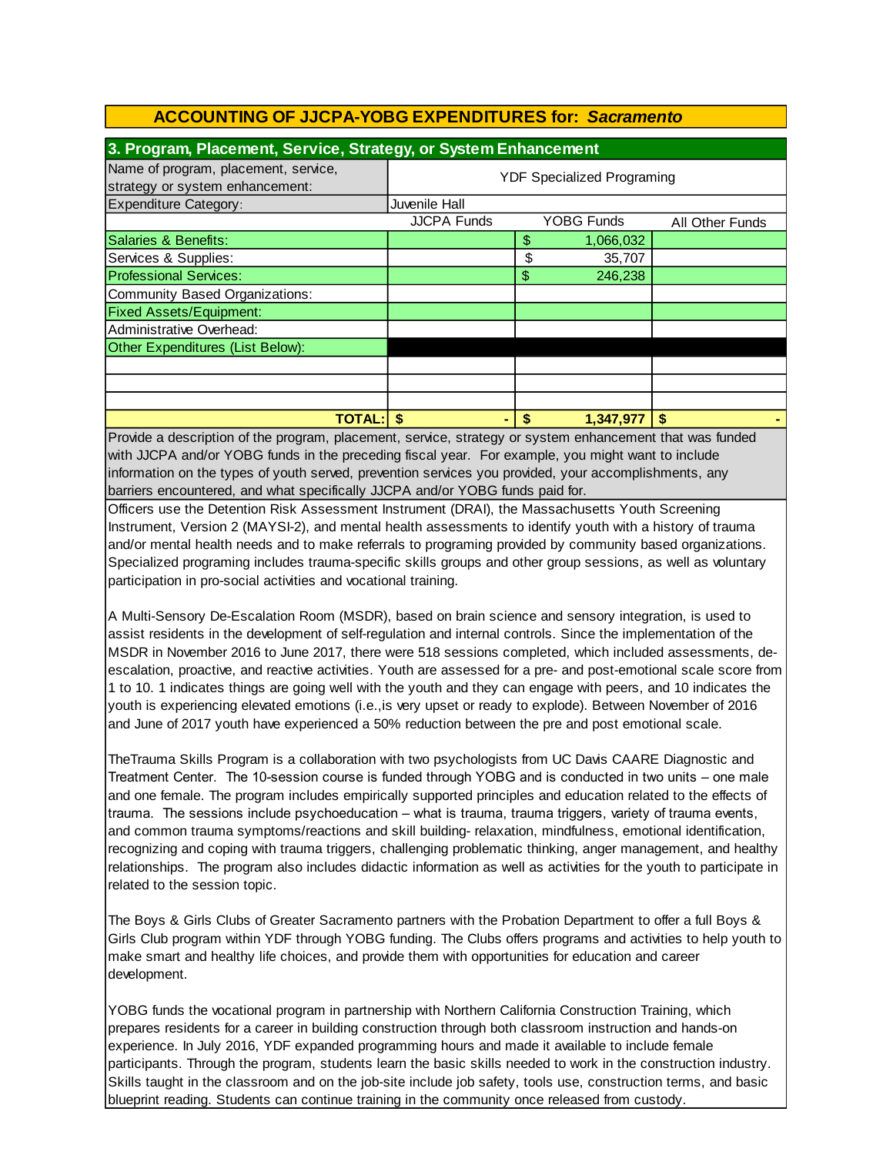| 3. Program, Placement, Service, Strategy, or System Enhancement         |                                   |    |                   |                        |  |  |  |
|-------------------------------------------------------------------------|-----------------------------------|----|-------------------|------------------------|--|--|--|
| Name of program, placement, service,<br>strategy or system enhancement: | <b>YDF Specialized Programing</b> |    |                   |                        |  |  |  |
| <b>Expenditure Category:</b>                                            | Juvenile Hall                     |    |                   |                        |  |  |  |
|                                                                         | <b>JJCPA Funds</b>                |    | <b>YOBG Funds</b> | <b>All Other Funds</b> |  |  |  |
| Salaries & Benefits:                                                    |                                   | \$ | 1,066,032         |                        |  |  |  |
| Services & Supplies:                                                    |                                   | \$ | 35,707            |                        |  |  |  |
| <b>Professional Services:</b>                                           |                                   | \$ | 246,238           |                        |  |  |  |
| Community Based Organizations:                                          |                                   |    |                   |                        |  |  |  |
| <b>Fixed Assets/Equipment:</b>                                          |                                   |    |                   |                        |  |  |  |
| Administrative Overhead:                                                |                                   |    |                   |                        |  |  |  |
| Other Expenditures (List Below):                                        |                                   |    |                   |                        |  |  |  |
|                                                                         |                                   |    |                   |                        |  |  |  |
|                                                                         |                                   |    |                   |                        |  |  |  |
|                                                                         |                                   |    |                   |                        |  |  |  |
| <b>TOTAL:</b>                                                           |                                   | S  | 1,347,977         |                        |  |  |  |

barriers encountered, and what specifically JJCPA and/or YOBG funds paid for. information on the types of youth served, prevention services you provided, your accomplishments, any Provide a description of the program, placement, service, strategy or system enhancement that was funded with JJCPA and/or YOBG funds in the preceding fiscal year. For example, you might want to include

Officers use the Detention Risk Assessment Instrument (DRAI), the Massachusetts Youth Screening Instrument, Version 2 (MAYSI-2), and mental health assessments to identify youth with a history of trauma and/or mental health needs and to make referrals to programing provided by community based organizations. Specialized programing includes trauma-specific skills groups and other group sessions, as well as voluntary participation in pro-social activities and vocational training.

A Multi-Sensory De-Escalation Room (MSDR), based on brain science and sensory integration, is used to assist residents in the development of self-regulation and internal controls. Since the implementation of the MSDR in November 2016 to June 2017, there were 518 sessions completed, which included assessments, deescalation, proactive, and reactive activities. Youth are assessed for a pre- and post-emotional scale score from 1 to 10. 1 indicates things are going well with the youth and they can engage with peers, and 10 indicates the youth is experiencing elevated emotions (i.e.,is very upset or ready to explode). Between November of 2016 and June of 2017 youth have experienced a 50% reduction between the pre and post emotional scale.

TheTrauma Skills Program is a collaboration with two psychologists from UC Davis CAARE Diagnostic and Treatment Center. The 10-session course is funded through YOBG and is conducted in two units – one male and one female. The program includes empirically supported principles and education related to the effects of trauma. The sessions include psychoeducation – what is trauma, trauma triggers, variety of trauma events, and common trauma symptoms/reactions and skill building- relaxation, mindfulness, emotional identification, recognizing and coping with trauma triggers, challenging problematic thinking, anger management, and healthy relationships. The program also includes didactic information as well as activities for the youth to participate in related to the session topic.

The Boys & Girls Clubs of Greater Sacramento partners with the Probation Department to offer a full Boys & Girls Club program within YDF through YOBG funding. The Clubs offers programs and activities to help youth to make smart and healthy life choices, and provide them with opportunities for education and career development.

YOBG funds the vocational program in partnership with Northern California Construction Training, which prepares residents for a career in building construction through both classroom instruction and hands-on experience. In July 2016, YDF expanded programming hours and made it available to include female participants. Through the program, students learn the basic skills needed to work in the construction industry. Skills taught in the classroom and on the job-site include job safety, tools use, construction terms, and basic blueprint reading. Students can continue training in the community once released from custody.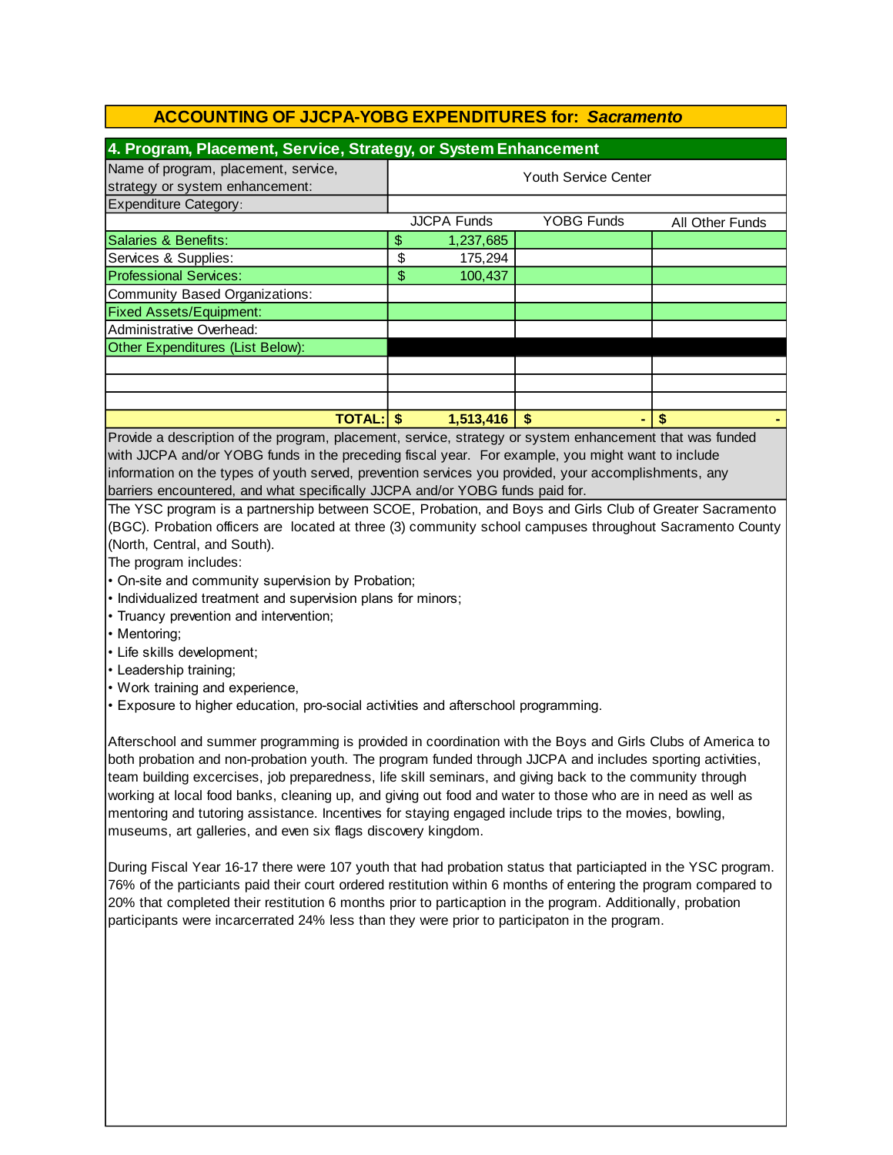| 4. Program, Placement, Service, Strategy, or System Enhancement |                  |                    |                 |  |  |  |
|-----------------------------------------------------------------|------------------|--------------------|-----------------|--|--|--|
| <b>Youth Service Center</b>                                     |                  |                    |                 |  |  |  |
|                                                                 |                  |                    |                 |  |  |  |
|                                                                 |                  | <b>YOBG Funds</b>  | All Other Funds |  |  |  |
| \$                                                              | 1,237,685        |                    |                 |  |  |  |
| \$                                                              | 175,294          |                    |                 |  |  |  |
| \$                                                              | 100,437          |                    |                 |  |  |  |
|                                                                 |                  |                    |                 |  |  |  |
|                                                                 |                  |                    |                 |  |  |  |
|                                                                 |                  |                    |                 |  |  |  |
|                                                                 |                  |                    |                 |  |  |  |
|                                                                 |                  |                    |                 |  |  |  |
|                                                                 |                  |                    |                 |  |  |  |
|                                                                 |                  |                    |                 |  |  |  |
|                                                                 | 1,513,416        |                    |                 |  |  |  |
|                                                                 | <b>TOTAL: \$</b> | <b>JJCPA Funds</b> |                 |  |  |  |

Provide a description of the program, placement, service, strategy or system enhancement that was funded with JJCPA and/or YOBG funds in the preceding fiscal year. For example, you might want to include information on the types of youth served, prevention services you provided, your accomplishments, any barriers encountered, and what specifically JJCPA and/or YOBG funds paid for.

The YSC program is a partnership between SCOE, Probation, and Boys and Girls Club of Greater Sacramento (BGC). Probation officers are located at three (3) community school campuses throughout Sacramento County (North, Central, and South).

The program includes:

- On-site and community supervision by Probation;
- Individualized treatment and supervision plans for minors;
- Truancy prevention and intervention;
- Mentoring;
- Life skills development;
- Leadership training;
- Work training and experience,
- Exposure to higher education, pro-social activities and afterschool programming.

Afterschool and summer programming is provided in coordination with the Boys and Girls Clubs of America to both probation and non-probation youth. The program funded through JJCPA and includes sporting activities, team building excercises, job preparedness, life skill seminars, and giving back to the community through working at local food banks, cleaning up, and giving out food and water to those who are in need as well as mentoring and tutoring assistance. Incentives for staying engaged include trips to the movies, bowling, museums, art galleries, and even six flags discovery kingdom.

During Fiscal Year 16-17 there were 107 youth that had probation status that particiapted in the YSC program. 76% of the particiants paid their court ordered restitution within 6 months of entering the program compared to 20% that completed their restitution 6 months prior to particaption in the program. Additionally, probation participants were incarcerrated 24% less than they were prior to participaton in the program.